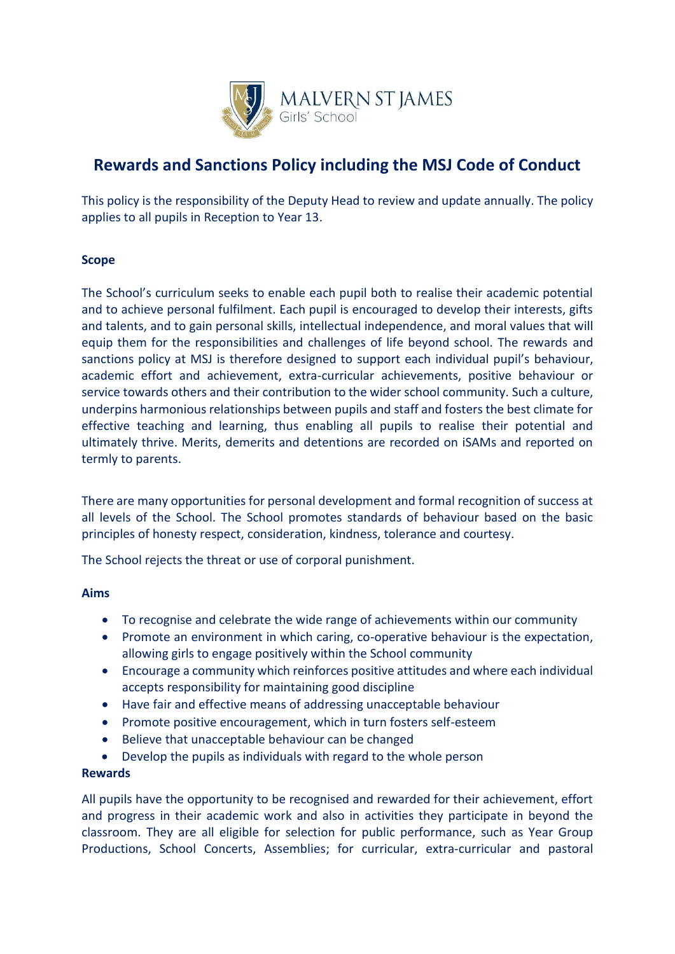

# **Rewards and Sanctions Policy including the MSJ Code of Conduct**

This policy is the responsibility of the Deputy Head to review and update annually. The policy applies to all pupils in Reception to Year 13.

# **Scope**

The School's curriculum seeks to enable each pupil both to realise their academic potential and to achieve personal fulfilment. Each pupil is encouraged to develop their interests, gifts and talents, and to gain personal skills, intellectual independence, and moral values that will equip them for the responsibilities and challenges of life beyond school. The rewards and sanctions policy at MSJ is therefore designed to support each individual pupil's behaviour, academic effort and achievement, extra-curricular achievements, positive behaviour or service towards others and their contribution to the wider school community. Such a culture, underpins harmonious relationships between pupils and staff and fosters the best climate for effective teaching and learning, thus enabling all pupils to realise their potential and ultimately thrive. Merits, demerits and detentions are recorded on iSAMs and reported on termly to parents.

There are many opportunities for personal development and formal recognition of success at all levels of the School. The School promotes standards of behaviour based on the basic principles of honesty respect, consideration, kindness, tolerance and courtesy.

The School rejects the threat or use of corporal punishment.

# **Aims**

- To recognise and celebrate the wide range of achievements within our community
- Promote an environment in which caring, co-operative behaviour is the expectation, allowing girls to engage positively within the School community
- Encourage a community which reinforces positive attitudes and where each individual accepts responsibility for maintaining good discipline
- Have fair and effective means of addressing unacceptable behaviour
- Promote positive encouragement, which in turn fosters self-esteem
- Believe that unacceptable behaviour can be changed
- Develop the pupils as individuals with regard to the whole person

# **Rewards**

All pupils have the opportunity to be recognised and rewarded for their achievement, effort and progress in their academic work and also in activities they participate in beyond the classroom. They are all eligible for selection for public performance, such as Year Group Productions, School Concerts, Assemblies; for curricular, extra-curricular and pastoral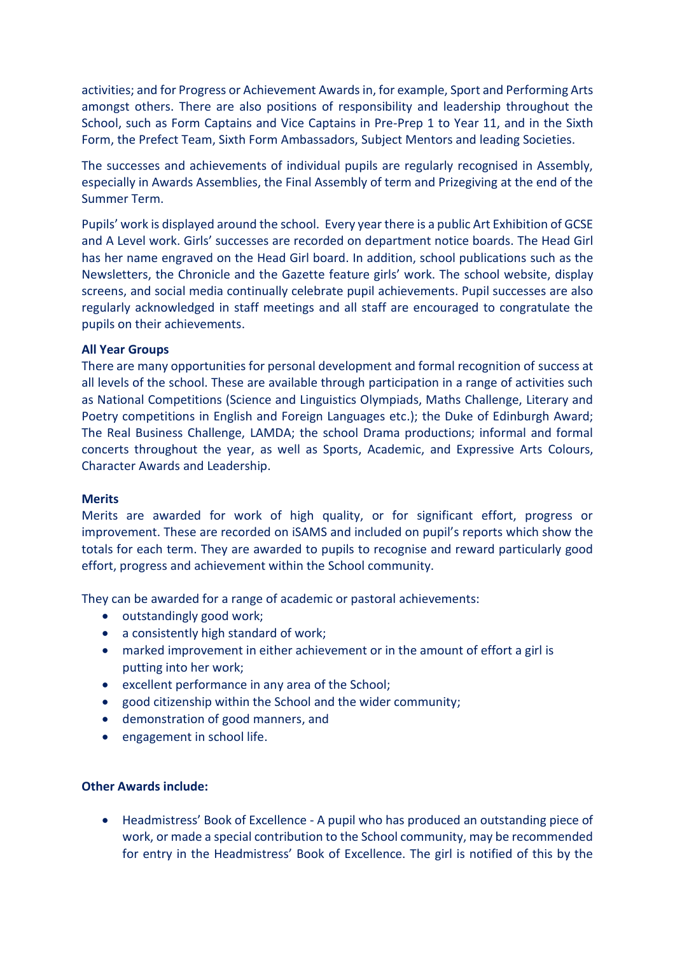activities; and for Progress or Achievement Awards in, for example, Sport and Performing Arts amongst others. There are also positions of responsibility and leadership throughout the School, such as Form Captains and Vice Captains in Pre-Prep 1 to Year 11, and in the Sixth Form, the Prefect Team, Sixth Form Ambassadors, Subject Mentors and leading Societies.

The successes and achievements of individual pupils are regularly recognised in Assembly, especially in Awards Assemblies, the Final Assembly of term and Prizegiving at the end of the Summer Term.

Pupils' work is displayed around the school. Every year there is a public Art Exhibition of GCSE and A Level work. Girls' successes are recorded on department notice boards. The Head Girl has her name engraved on the Head Girl board. In addition, school publications such as the Newsletters, the Chronicle and the Gazette feature girls' work. The school website, display screens, and social media continually celebrate pupil achievements. Pupil successes are also regularly acknowledged in staff meetings and all staff are encouraged to congratulate the pupils on their achievements.

#### **All Year Groups**

There are many opportunities for personal development and formal recognition of success at all levels of the school. These are available through participation in a range of activities such as National Competitions (Science and Linguistics Olympiads, Maths Challenge, Literary and Poetry competitions in English and Foreign Languages etc.); the Duke of Edinburgh Award; The Real Business Challenge, LAMDA; the school Drama productions; informal and formal concerts throughout the year, as well as Sports, Academic, and Expressive Arts Colours, Character Awards and Leadership.

#### **Merits**

Merits are awarded for work of high quality, or for significant effort, progress or improvement. These are recorded on iSAMS and included on pupil's reports which show the totals for each term. They are awarded to pupils to recognise and reward particularly good effort, progress and achievement within the School community.

They can be awarded for a range of academic or pastoral achievements:

- outstandingly good work;
- a consistently high standard of work;
- marked improvement in either achievement or in the amount of effort a girl is putting into her work;
- excellent performance in any area of the School;
- good citizenship within the School and the wider community;
- demonstration of good manners, and
- engagement in school life.

## **Other Awards include:**

• Headmistress' Book of Excellence - A pupil who has produced an outstanding piece of work, or made a special contribution to the School community, may be recommended for entry in the Headmistress' Book of Excellence. The girl is notified of this by the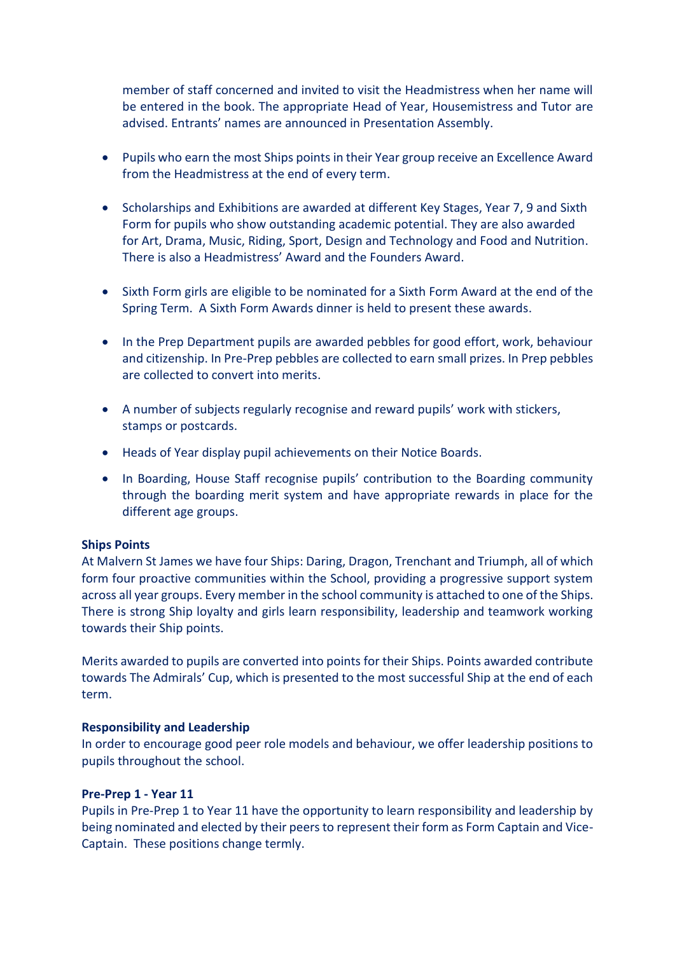member of staff concerned and invited to visit the Headmistress when her name will be entered in the book. The appropriate Head of Year, Housemistress and Tutor are advised. Entrants' names are announced in Presentation Assembly.

- Pupils who earn the most Ships points in their Year group receive an Excellence Award from the Headmistress at the end of every term.
- Scholarships and Exhibitions are awarded at different Key Stages, Year 7, 9 and Sixth Form for pupils who show outstanding academic potential. They are also awarded for Art, Drama, Music, Riding, Sport, Design and Technology and Food and Nutrition. There is also a Headmistress' Award and the Founders Award.
- Sixth Form girls are eligible to be nominated for a Sixth Form Award at the end of the Spring Term. A Sixth Form Awards dinner is held to present these awards.
- In the Prep Department pupils are awarded pebbles for good effort, work, behaviour and citizenship. In Pre-Prep pebbles are collected to earn small prizes. In Prep pebbles are collected to convert into merits.
- A number of subjects regularly recognise and reward pupils' work with stickers, stamps or postcards.
- Heads of Year display pupil achievements on their Notice Boards.
- In Boarding, House Staff recognise pupils' contribution to the Boarding community through the boarding merit system and have appropriate rewards in place for the different age groups.

#### **Ships Points**

At Malvern St James we have four Ships: Daring, Dragon, Trenchant and Triumph, all of which form four proactive communities within the School, providing a progressive support system across all year groups. Every member in the school community is attached to one of the Ships. There is strong Ship loyalty and girls learn responsibility, leadership and teamwork working towards their Ship points.

Merits awarded to pupils are converted into points for their Ships. Points awarded contribute towards The Admirals' Cup, which is presented to the most successful Ship at the end of each term.

#### **Responsibility and Leadership**

In order to encourage good peer role models and behaviour, we offer leadership positions to pupils throughout the school.

#### **Pre-Prep 1 - Year 11**

Pupils in Pre-Prep 1 to Year 11 have the opportunity to learn responsibility and leadership by being nominated and elected by their peers to represent their form as Form Captain and Vice-Captain. These positions change termly.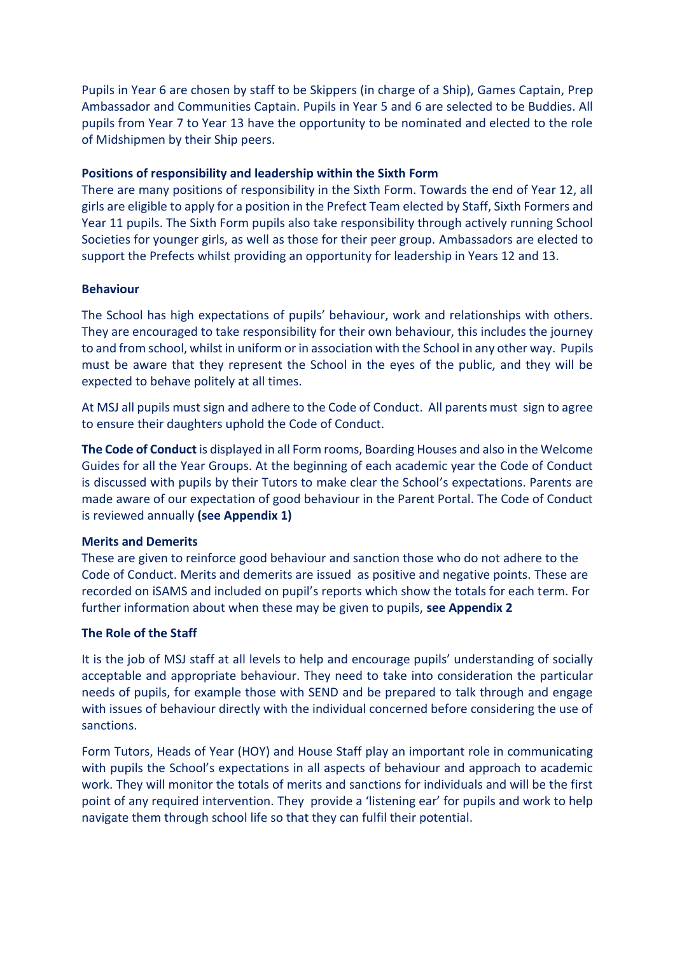Pupils in Year 6 are chosen by staff to be Skippers (in charge of a Ship), Games Captain, Prep Ambassador and Communities Captain. Pupils in Year 5 and 6 are selected to be Buddies. All pupils from Year 7 to Year 13 have the opportunity to be nominated and elected to the role of Midshipmen by their Ship peers.

# **Positions of responsibility and leadership within the Sixth Form**

There are many positions of responsibility in the Sixth Form. Towards the end of Year 12, all girls are eligible to apply for a position in the Prefect Team elected by Staff, Sixth Formers and Year 11 pupils. The Sixth Form pupils also take responsibility through actively running School Societies for younger girls, as well as those for their peer group. Ambassadors are elected to support the Prefects whilst providing an opportunity for leadership in Years 12 and 13.

# **Behaviour**

The School has high expectations of pupils' behaviour, work and relationships with others. They are encouraged to take responsibility for their own behaviour, this includes the journey to and from school, whilst in uniform or in association with the School in any other way. Pupils must be aware that they represent the School in the eyes of the public, and they will be expected to behave politely at all times.

At MSJ all pupils must sign and adhere to the Code of Conduct. All parents must sign to agree to ensure their daughters uphold the Code of Conduct.

**The Code of Conduct** is displayed in all Form rooms, Boarding Houses and also in the Welcome Guides for all the Year Groups. At the beginning of each academic year the Code of Conduct is discussed with pupils by their Tutors to make clear the School's expectations. Parents are made aware of our expectation of good behaviour in the Parent Portal. The Code of Conduct is reviewed annually **(see Appendix 1)**

# **Merits and Demerits**

These are given to reinforce good behaviour and sanction those who do not adhere to the Code of Conduct. Merits and demerits are issued as positive and negative points. These are recorded on iSAMS and included on pupil's reports which show the totals for each term. For further information about when these may be given to pupils, **see Appendix 2**

# **The Role of the Staff**

It is the job of MSJ staff at all levels to help and encourage pupils' understanding of socially acceptable and appropriate behaviour. They need to take into consideration the particular needs of pupils, for example those with SEND and be prepared to talk through and engage with issues of behaviour directly with the individual concerned before considering the use of sanctions.

Form Tutors, Heads of Year (HOY) and House Staff play an important role in communicating with pupils the School's expectations in all aspects of behaviour and approach to academic work. They will monitor the totals of merits and sanctions for individuals and will be the first point of any required intervention. They provide a 'listening ear' for pupils and work to help navigate them through school life so that they can fulfil their potential.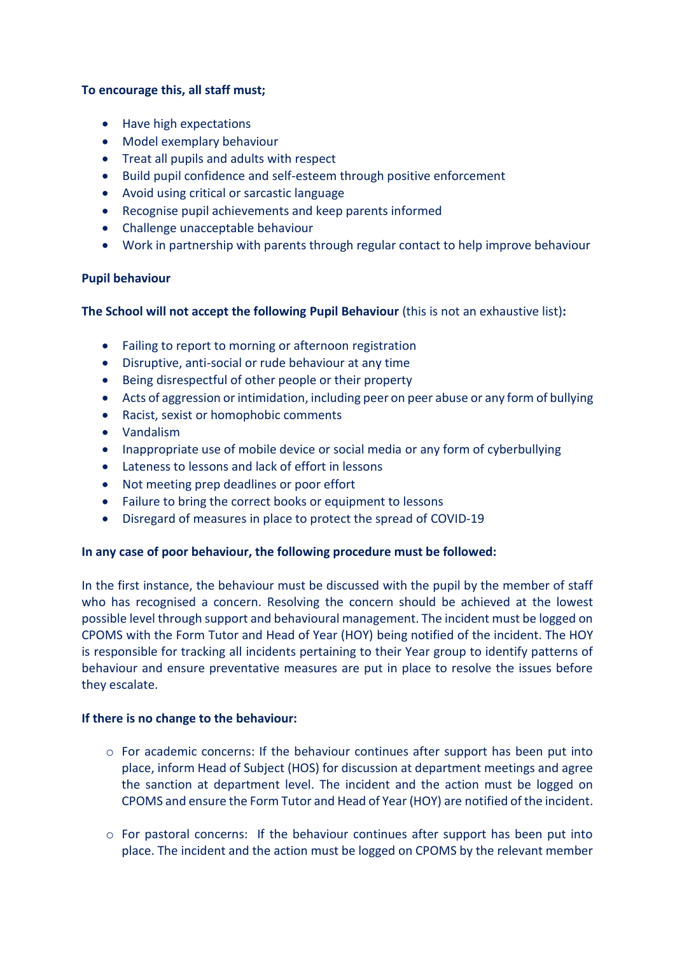# **To encourage this, all staff must;**

- Have high expectations
- Model exemplary behaviour
- Treat all pupils and adults with respect
- Build pupil confidence and self-esteem through positive enforcement
- Avoid using critical or sarcastic language
- Recognise pupil achievements and keep parents informed
- Challenge unacceptable behaviour
- Work in partnership with parents through regular contact to help improve behaviour

# **Pupil behaviour**

# **The School will not accept the following Pupil Behaviour** (this is not an exhaustive list)**:**

- Failing to report to morning or afternoon registration
- Disruptive, anti-social or rude behaviour at any time
- Being disrespectful of other people or their property
- Acts of aggression or intimidation, including peer on peer abuse or any form of bullying
- Racist, sexist or homophobic comments
- Vandalism
- Inappropriate use of mobile device or social media or any form of cyberbullying
- Lateness to lessons and lack of effort in lessons
- Not meeting prep deadlines or poor effort
- Failure to bring the correct books or equipment to lessons
- Disregard of measures in place to protect the spread of COVID-19

# **In any case of poor behaviour, the following procedure must be followed:**

In the first instance, the behaviour must be discussed with the pupil by the member of staff who has recognised a concern. Resolving the concern should be achieved at the lowest possible level through support and behavioural management. The incident must be logged on CPOMS with the Form Tutor and Head of Year (HOY) being notified of the incident. The HOY is responsible for tracking all incidents pertaining to their Year group to identify patterns of behaviour and ensure preventative measures are put in place to resolve the issues before they escalate.

#### **If there is no change to the behaviour:**

- $\circ$  For academic concerns: If the behaviour continues after support has been put into place, inform Head of Subject (HOS) for discussion at department meetings and agree the sanction at department level. The incident and the action must be logged on CPOMS and ensure the Form Tutor and Head of Year (HOY) are notified of the incident.
- $\circ$  For pastoral concerns: If the behaviour continues after support has been put into place. The incident and the action must be logged on CPOMS by the relevant member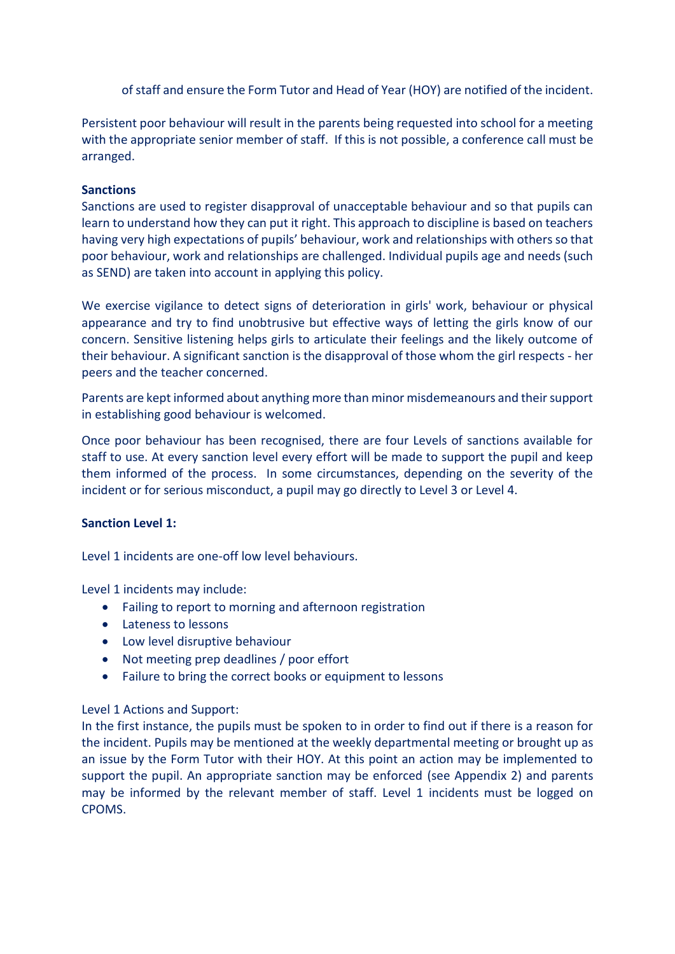of staff and ensure the Form Tutor and Head of Year (HOY) are notified of the incident.

Persistent poor behaviour will result in the parents being requested into school for a meeting with the appropriate senior member of staff. If this is not possible, a conference call must be arranged.

# **Sanctions**

Sanctions are used to register disapproval of unacceptable behaviour and so that pupils can learn to understand how they can put it right. This approach to discipline is based on teachers having very high expectations of pupils' behaviour, work and relationships with others so that poor behaviour, work and relationships are challenged. Individual pupils age and needs (such as SEND) are taken into account in applying this policy.

We exercise vigilance to detect signs of deterioration in girls' work, behaviour or physical appearance and try to find unobtrusive but effective ways of letting the girls know of our concern. Sensitive listening helps girls to articulate their feelings and the likely outcome of their behaviour. A significant sanction is the disapproval of those whom the girl respects - her peers and the teacher concerned.

Parents are kept informed about anything more than minor misdemeanours and their support in establishing good behaviour is welcomed.

Once poor behaviour has been recognised, there are four Levels of sanctions available for staff to use. At every sanction level every effort will be made to support the pupil and keep them informed of the process. In some circumstances, depending on the severity of the incident or for serious misconduct, a pupil may go directly to Level 3 or Level 4.

# **Sanction Level 1:**

Level 1 incidents are one-off low level behaviours.

Level 1 incidents may include:

- Failing to report to morning and afternoon registration
- Lateness to lessons
- Low level disruptive behaviour
- Not meeting prep deadlines / poor effort
- Failure to bring the correct books or equipment to lessons

# Level 1 Actions and Support:

In the first instance, the pupils must be spoken to in order to find out if there is a reason for the incident. Pupils may be mentioned at the weekly departmental meeting or brought up as an issue by the Form Tutor with their HOY. At this point an action may be implemented to support the pupil. An appropriate sanction may be enforced (see Appendix 2) and parents may be informed by the relevant member of staff. Level 1 incidents must be logged on CPOMS.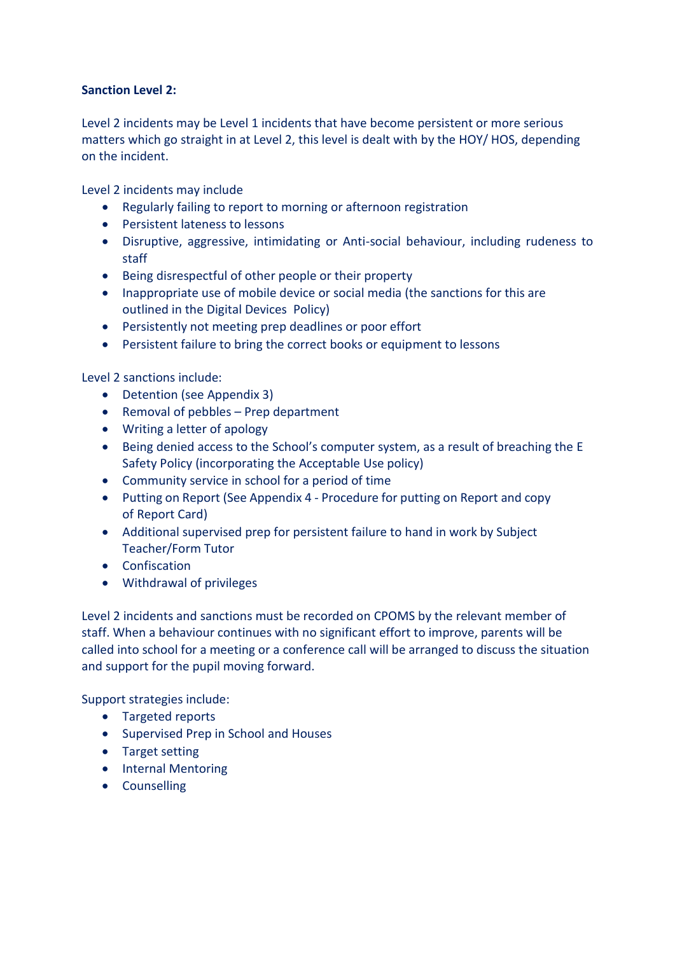# **Sanction Level 2:**

Level 2 incidents may be Level 1 incidents that have become persistent or more serious matters which go straight in at Level 2, this level is dealt with by the HOY/ HOS, depending on the incident.

Level 2 incidents may include

- Regularly failing to report to morning or afternoon registration
- Persistent lateness to lessons
- Disruptive, aggressive, intimidating or Anti-social behaviour, including rudeness to staff
- Being disrespectful of other people or their property
- Inappropriate use of mobile device or social media (the sanctions for this are outlined in the Digital Devices Policy)
- Persistently not meeting prep deadlines or poor effort
- Persistent failure to bring the correct books or equipment to lessons

Level 2 sanctions include:

- Detention (see Appendix 3)
- Removal of pebbles Prep department
- Writing a letter of apology
- Being denied access to the School's computer system, as a result of breaching the E Safety Policy (incorporating the Acceptable Use policy)
- Community service in school for a period of time
- Putting on Report (See Appendix 4 Procedure for putting on Report and copy of Report Card)
- Additional supervised prep for persistent failure to hand in work by Subject Teacher/Form Tutor
- Confiscation
- Withdrawal of privileges

Level 2 incidents and sanctions must be recorded on CPOMS by the relevant member of staff. When a behaviour continues with no significant effort to improve, parents will be called into school for a meeting or a conference call will be arranged to discuss the situation and support for the pupil moving forward.

Support strategies include:

- Targeted reports
- Supervised Prep in School and Houses
- Target setting
- Internal Mentoring
- Counselling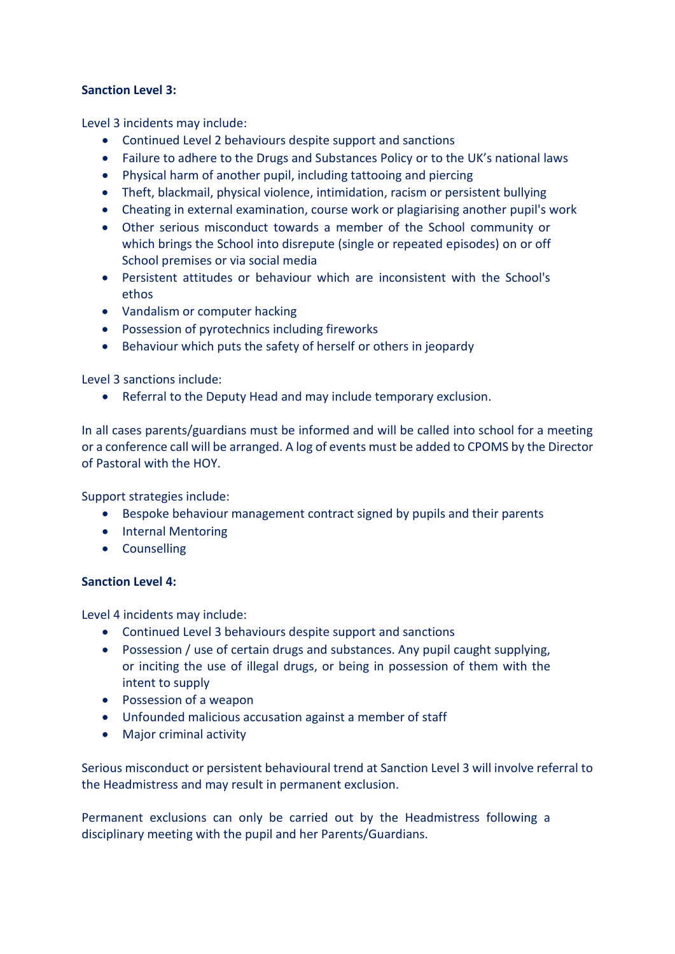# **Sanction Level 3:**

Level 3 incidents may include:

- Continued Level 2 behaviours despite support and sanctions
- Failure to adhere to the Drugs and Substances Policy or to the UK's national laws
- Physical harm of another pupil, including tattooing and piercing
- Theft, blackmail, physical violence, intimidation, racism or persistent bullying
- Cheating in external examination, course work or plagiarising another pupil's work
- Other serious misconduct towards a member of the School community or which brings the School into disrepute (single or repeated episodes) on or off School premises or via social media
- Persistent attitudes or behaviour which are inconsistent with the School's ethos
- Vandalism or computer hacking
- Possession of pyrotechnics including fireworks
- Behaviour which puts the safety of herself or others in jeopardy

Level 3 sanctions include:

• Referral to the Deputy Head and may include temporary exclusion.

In all cases parents/guardians must be informed and will be called into school for a meeting or a conference call will be arranged. A log of events must be added to CPOMS by the Director of Pastoral with the HOY.

Support strategies include:

- Bespoke behaviour management contract signed by pupils and their parents
- Internal Mentoring
- Counselling

# **Sanction Level 4:**

Level 4 incidents may include:

- Continued Level 3 behaviours despite support and sanctions
- Possession / use of certain drugs and substances. Any pupil caught supplying, or inciting the use of illegal drugs, or being in possession of them with the intent to supply
- Possession of a weapon
- Unfounded malicious accusation against a member of staff
- Major criminal activity

Serious misconduct or persistent behavioural trend at Sanction Level 3 will involve referral to the Headmistress and may result in permanent exclusion.

Permanent exclusions can only be carried out by the Headmistress following a disciplinary meeting with the pupil and her Parents/Guardians.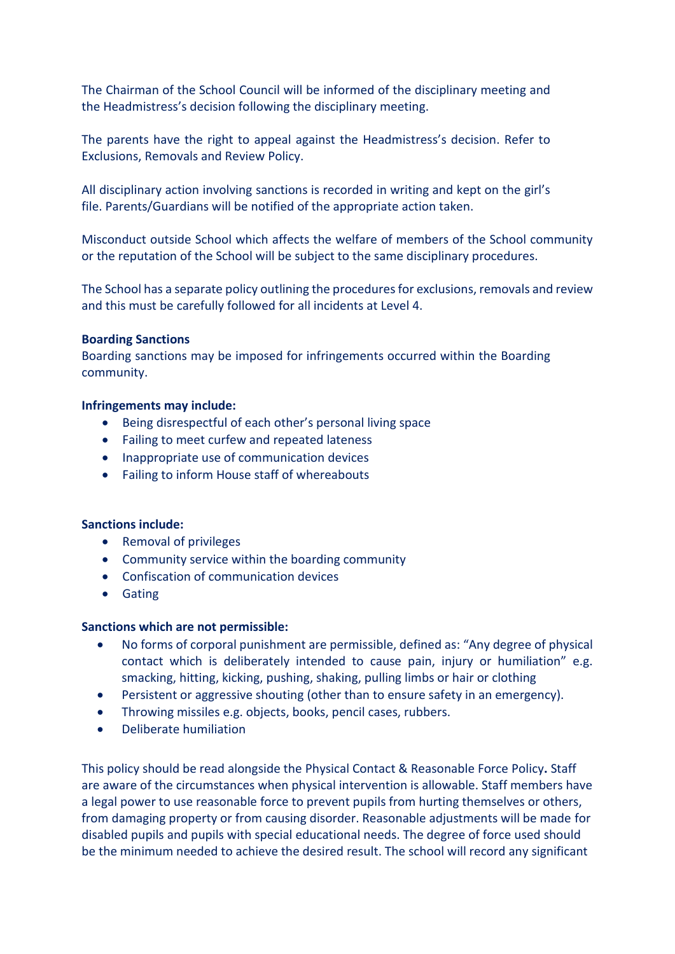The Chairman of the School Council will be informed of the disciplinary meeting and the Headmistress's decision following the disciplinary meeting.

The parents have the right to appeal against the Headmistress's decision. Refer to Exclusions, Removals and Review Policy.

All disciplinary action involving sanctions is recorded in writing and kept on the girl's file. Parents/Guardians will be notified of the appropriate action taken.

Misconduct outside School which affects the welfare of members of the School community or the reputation of the School will be subject to the same disciplinary procedures.

The School has a separate policy outlining the procedures for exclusions, removals and review and this must be carefully followed for all incidents at Level 4.

#### **Boarding Sanctions**

Boarding sanctions may be imposed for infringements occurred within the Boarding community.

#### **Infringements may include:**

- Being disrespectful of each other's personal living space
- Failing to meet curfew and repeated lateness
- Inappropriate use of communication devices
- Failing to inform House staff of whereabouts

# **Sanctions include:**

- Removal of privileges
- Community service within the boarding community
- Confiscation of communication devices
- Gating

# **Sanctions which are not permissible:**

- No forms of corporal punishment are permissible, defined as: "Any degree of physical contact which is deliberately intended to cause pain, injury or humiliation" e.g. smacking, hitting, kicking, pushing, shaking, pulling limbs or hair or clothing
- Persistent or aggressive shouting (other than to ensure safety in an emergency).
- Throwing missiles e.g. objects, books, pencil cases, rubbers.
- Deliberate humiliation

This policy should be read alongside the Physical Contact & Reasonable Force Policy**.** Staff are aware of the circumstances when physical intervention is allowable. Staff members have a legal power to use reasonable force to prevent pupils from hurting themselves or others, from damaging property or from causing disorder. Reasonable adjustments will be made for disabled pupils and pupils with special educational needs. The degree of force used should be the minimum needed to achieve the desired result. The school will record any significant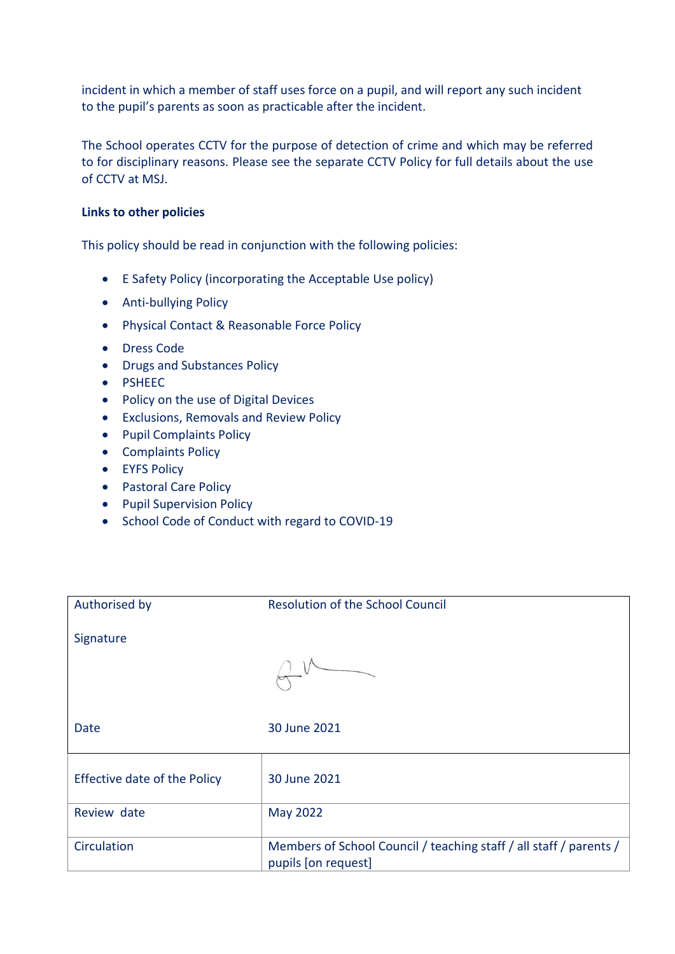incident in which a member of staff uses force on a pupil, and will report any such incident to the pupil's parents as soon as practicable after the incident.

The School operates CCTV for the purpose of detection of crime and which may be referred to for disciplinary reasons. Please see the separate CCTV Policy for full details about the use of CCTV at MSJ.

# **Links to other policies**

This policy should be read in conjunction with the following policies:

- E Safety Policy (incorporating the Acceptable Use policy)
- Anti-bullying Policy
- Physical Contact & Reasonable Force Policy
- Dress Code
- Drugs and Substances Policy
- PSHEEC
- Policy on the use of Digital Devices
- Exclusions, Removals and Review Policy
- Pupil Complaints Policy
- Complaints Policy
- EYFS Policy
- Pastoral Care Policy
- Pupil Supervision Policy
- School Code of Conduct with regard to COVID-19

| Authorised by                | <b>Resolution of the School Council</b>                                                   |
|------------------------------|-------------------------------------------------------------------------------------------|
| Signature                    |                                                                                           |
|                              |                                                                                           |
| Date                         | 30 June 2021                                                                              |
| Effective date of the Policy | 30 June 2021                                                                              |
| Review date                  | May 2022                                                                                  |
| Circulation                  | Members of School Council / teaching staff / all staff / parents /<br>pupils [on request] |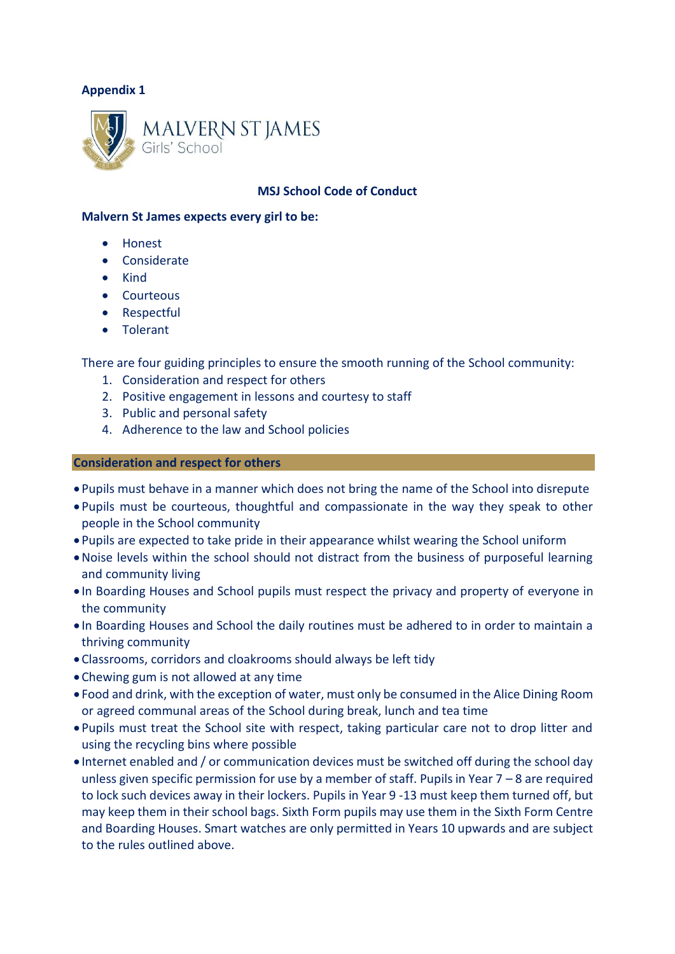

# **MSJ School Code of Conduct**

#### **Malvern St James expects every girl to be:**

- Honest
- Considerate
- Kind
- Courteous
- Respectful
- Tolerant

There are four guiding principles to ensure the smooth running of the School community:

- 1. Consideration and respect for others
- 2. Positive engagement in lessons and courtesy to staff
- 3. Public and personal safety
- 4. Adherence to the law and School policies

#### **Consideration and respect for others**

- Pupils must behave in a manner which does not bring the name of the School into disrepute
- Pupils must be courteous, thoughtful and compassionate in the way they speak to other people in the School community
- Pupils are expected to take pride in their appearance whilst wearing the School uniform
- •Noise levels within the school should not distract from the business of purposeful learning and community living
- In Boarding Houses and School pupils must respect the privacy and property of everyone in the community
- In Boarding Houses and School the daily routines must be adhered to in order to maintain a thriving community
- •Classrooms, corridors and cloakrooms should always be left tidy
- •Chewing gum is not allowed at any time
- Food and drink, with the exception of water, must only be consumed in the Alice Dining Room or agreed communal areas of the School during break, lunch and tea time
- Pupils must treat the School site with respect, taking particular care not to drop litter and using the recycling bins where possible
- Internet enabled and / or communication devices must be switched off during the school day unless given specific permission for use by a member of staff. Pupils in Year  $7 - 8$  are required to lock such devices away in their lockers. Pupils in Year 9 -13 must keep them turned off, but may keep them in their school bags. Sixth Form pupils may use them in the Sixth Form Centre and Boarding Houses. Smart watches are only permitted in Years 10 upwards and are subject to the rules outlined above.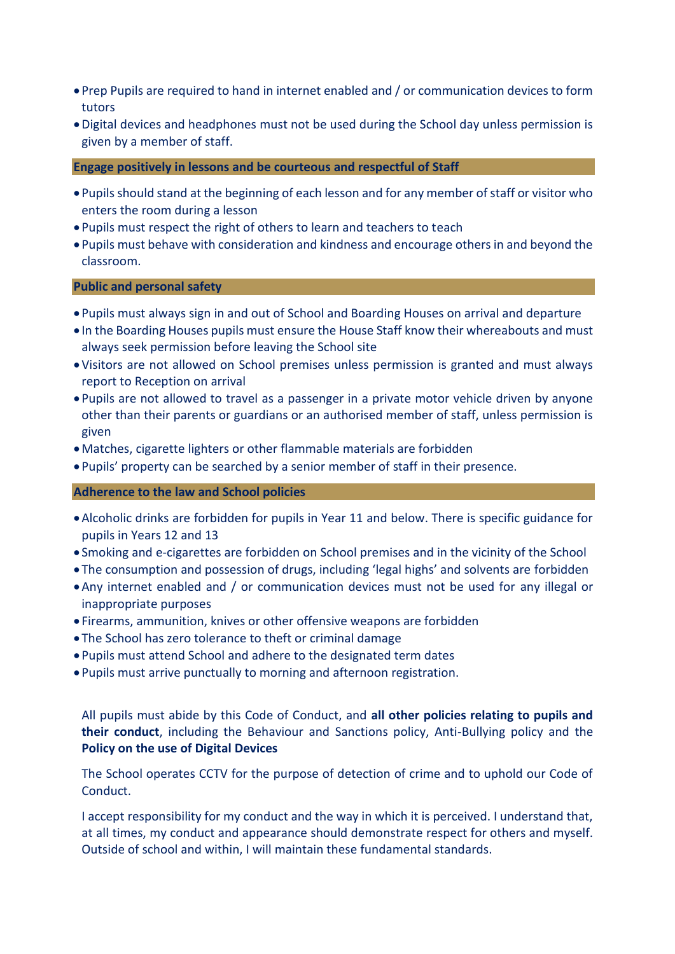- Prep Pupils are required to hand in internet enabled and / or communication devices to form tutors
- •Digital devices and headphones must not be used during the School day unless permission is given by a member of staff.

**Engage positively in lessons and be courteous and respectful of Staff**

- Pupils should stand at the beginning of each lesson and for any member of staff or visitor who enters the room during a lesson
- Pupils must respect the right of others to learn and teachers to teach
- Pupils must behave with consideration and kindness and encourage others in and beyond the classroom.

**Public and personal safety**

- Pupils must always sign in and out of School and Boarding Houses on arrival and departure
- In the Boarding Houses pupils must ensure the House Staff know their whereabouts and must always seek permission before leaving the School site
- •Visitors are not allowed on School premises unless permission is granted and must always report to Reception on arrival
- Pupils are not allowed to travel as a passenger in a private motor vehicle driven by anyone other than their parents or guardians or an authorised member of staff, unless permission is given
- •Matches, cigarette lighters or other flammable materials are forbidden
- Pupils' property can be searched by a senior member of staff in their presence.

#### **Adherence to the law and School policies**

- •Alcoholic drinks are forbidden for pupils in Year 11 and below. There is specific guidance for pupils in Years 12 and 13
- Smoking and e-cigarettes are forbidden on School premises and in the vicinity of the School
- The consumption and possession of drugs, including 'legal highs' and solvents are forbidden
- •Any internet enabled and / or communication devices must not be used for any illegal or inappropriate purposes
- Firearms, ammunition, knives or other offensive weapons are forbidden
- The School has zero tolerance to theft or criminal damage
- Pupils must attend School and adhere to the designated term dates
- Pupils must arrive punctually to morning and afternoon registration.

All pupils must abide by this Code of Conduct, and **all other policies relating to pupils and their conduct**, including the Behaviour and Sanctions policy, Anti-Bullying policy and the **Policy on the use of Digital Devices**

The School operates CCTV for the purpose of detection of crime and to uphold our Code of Conduct.

I accept responsibility for my conduct and the way in which it is perceived. I understand that, at all times, my conduct and appearance should demonstrate respect for others and myself. Outside of school and within, I will maintain these fundamental standards.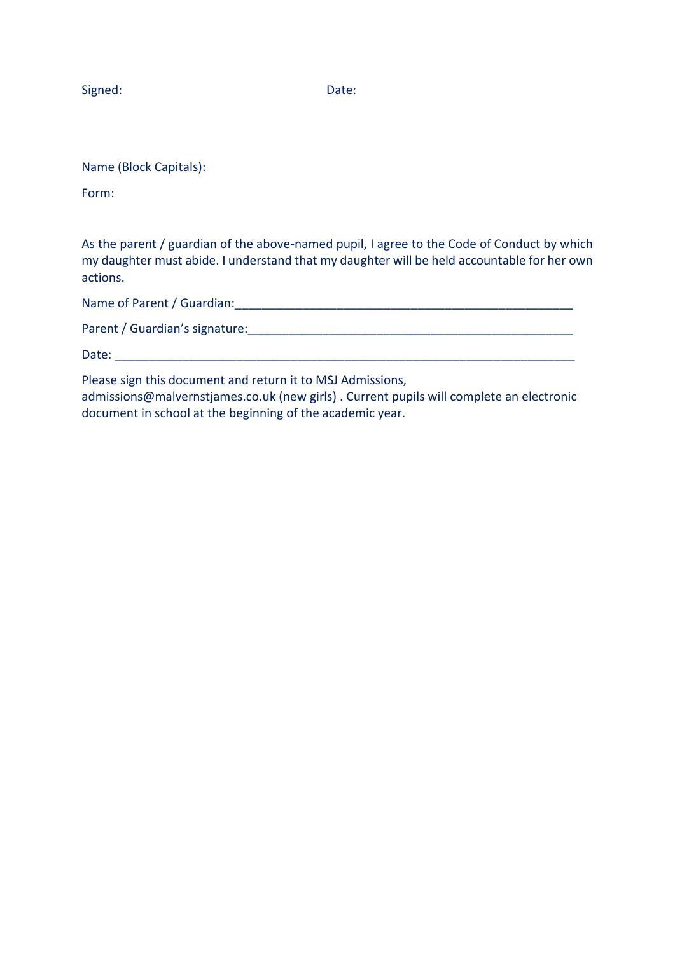Signed: Date:

Name (Block Capitals):

Form:

As the parent / guardian of the above-named pupil, I agree to the Code of Conduct by which my daughter must abide. I understand that my daughter will be held accountable for her own actions.

Name of Parent / Guardian: The contract of  $\mathcal{L}$  is a set of  $\mathcal{L}$  and  $\mathcal{L}$ 

Parent / Guardian's signature:\_\_\_\_\_\_\_\_\_\_\_\_\_\_\_\_\_\_\_\_\_\_\_\_\_\_\_\_\_\_\_\_\_\_\_\_\_\_\_\_\_\_\_\_\_\_\_\_

Date:  $\Box$ 

Please sign this document and return it to MSJ Admissions,

admissions@malvernstjames.co.uk (new girls) . Current pupils will complete an electronic document in school at the beginning of the academic year.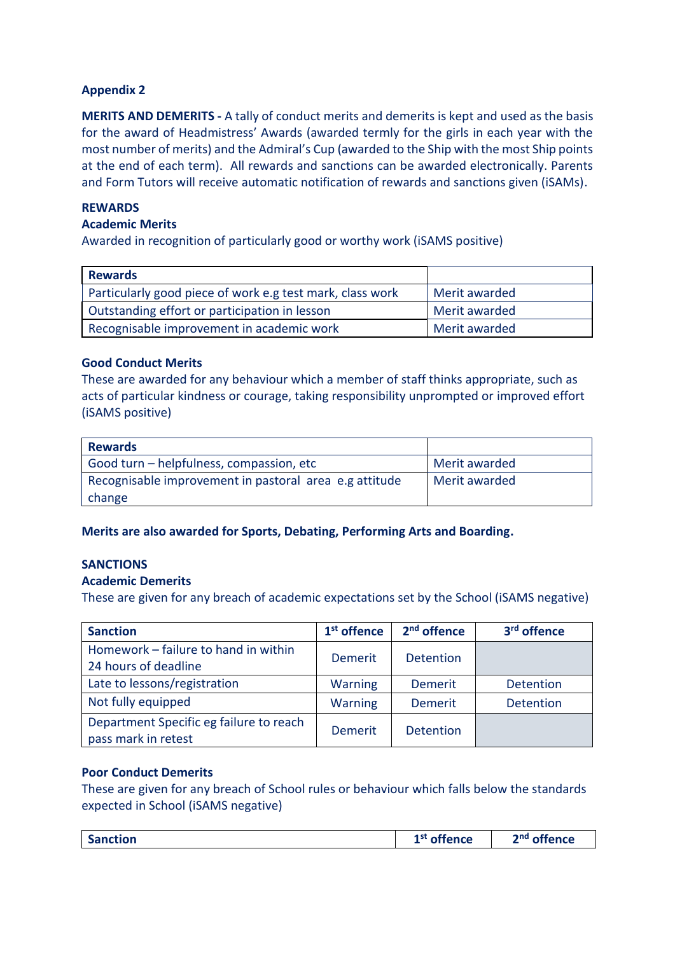**MERITS AND DEMERITS -** A tally of conduct merits and demerits is kept and used as the basis for the award of Headmistress' Awards (awarded termly for the girls in each year with the most number of merits) and the Admiral's Cup (awarded to the Ship with the most Ship points at the end of each term). All rewards and sanctions can be awarded electronically. Parents and Form Tutors will receive automatic notification of rewards and sanctions given (iSAMs).

# **REWARDS**

## **Academic Merits**

Awarded in recognition of particularly good or worthy work (iSAMS positive)

| <b>Rewards</b>                                            |               |
|-----------------------------------------------------------|---------------|
| Particularly good piece of work e.g test mark, class work | Merit awarded |
| Outstanding effort or participation in lesson             | Merit awarded |
| Recognisable improvement in academic work                 | Merit awarded |

# **Good Conduct Merits**

These are awarded for any behaviour which a member of staff thinks appropriate, such as acts of particular kindness or courage, taking responsibility unprompted or improved effort (iSAMS positive)

| <b>Rewards</b>                                         |               |
|--------------------------------------------------------|---------------|
| Good turn - helpfulness, compassion, etc               | Merit awarded |
| Recognisable improvement in pastoral area e.g attitude | Merit awarded |
| change                                                 |               |

**Merits are also awarded for Sports, Debating, Performing Arts and Boarding.**

# **SANCTIONS**

# **Academic Demerits**

These are given for any breach of academic expectations set by the School (iSAMS negative)

| <b>Sanction</b>                                                | $1st$ offence  | 2 <sup>nd</sup> offence | 3 <sup>rd</sup> offence |
|----------------------------------------------------------------|----------------|-------------------------|-------------------------|
| Homework - failure to hand in within<br>24 hours of deadline   | Demerit        | <b>Detention</b>        |                         |
| Late to lessons/registration                                   | <b>Warning</b> | <b>Demerit</b>          | <b>Detention</b>        |
| Not fully equipped                                             | <b>Warning</b> | <b>Demerit</b>          | <b>Detention</b>        |
| Department Specific eg failure to reach<br>pass mark in retest | <b>Demerit</b> | <b>Detention</b>        |                         |

# **Poor Conduct Demerits**

These are given for any breach of School rules or behaviour which falls below the standards expected in School (iSAMS negative)

|  | <b>Sanction</b> | --<br><b>াffence</b><br>י סי | offence<br>ond |
|--|-----------------|------------------------------|----------------|
|--|-----------------|------------------------------|----------------|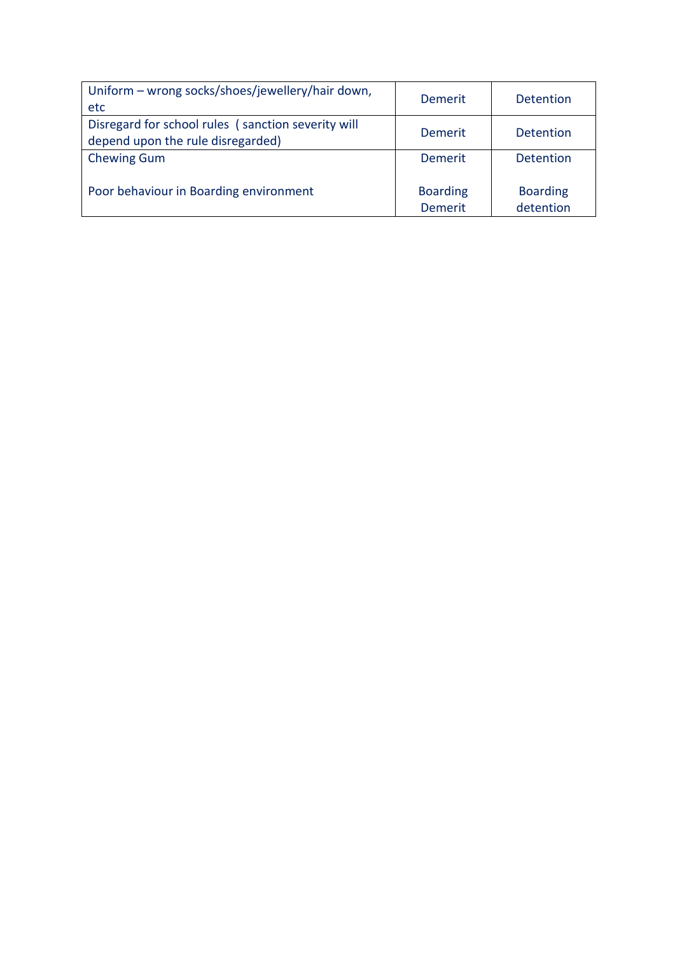| Uniform - wrong socks/shoes/jewellery/hair down,<br>etc.                                | <b>Demerit</b>                    | <b>Detention</b>             |
|-----------------------------------------------------------------------------------------|-----------------------------------|------------------------------|
| Disregard for school rules (sanction severity will<br>depend upon the rule disregarded) | Demerit                           | <b>Detention</b>             |
| <b>Chewing Gum</b>                                                                      | Demerit                           | <b>Detention</b>             |
| Poor behaviour in Boarding environment                                                  | <b>Boarding</b><br><b>Demerit</b> | <b>Boarding</b><br>detention |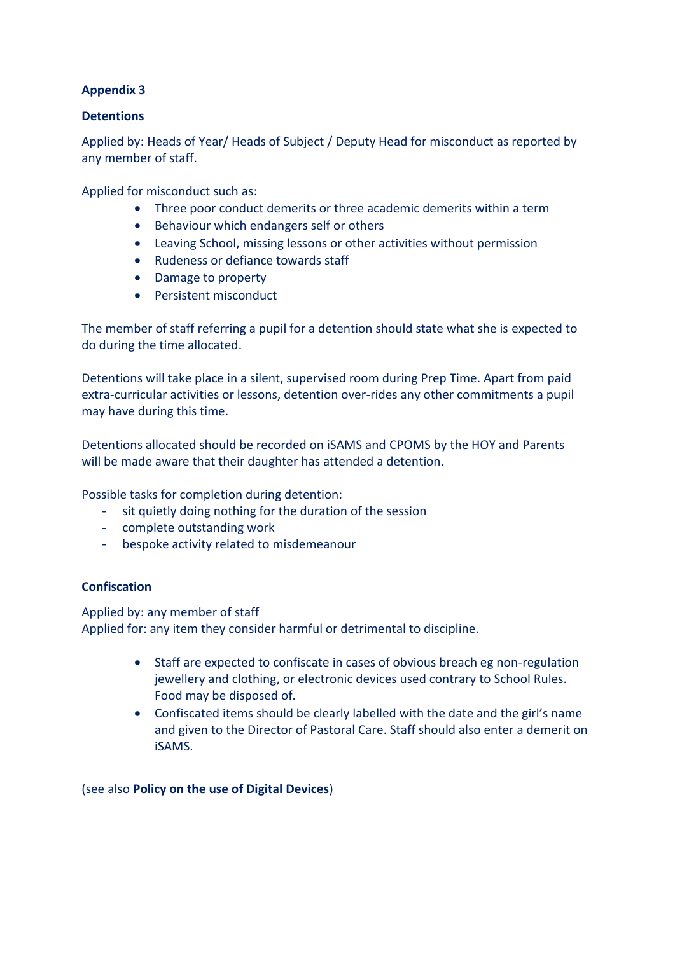# **Detentions**

Applied by: Heads of Year/ Heads of Subject / Deputy Head for misconduct as reported by any member of staff.

Applied for misconduct such as:

- Three poor conduct demerits or three academic demerits within a term
- Behaviour which endangers self or others
- Leaving School, missing lessons or other activities without permission
- Rudeness or defiance towards staff
- Damage to property
- Persistent misconduct

The member of staff referring a pupil for a detention should state what she is expected to do during the time allocated.

Detentions will take place in a silent, supervised room during Prep Time. Apart from paid extra-curricular activities or lessons, detention over-rides any other commitments a pupil may have during this time.

Detentions allocated should be recorded on iSAMS and CPOMS by the HOY and Parents will be made aware that their daughter has attended a detention.

Possible tasks for completion during detention:

- sit quietly doing nothing for the duration of the session
- complete outstanding work
- bespoke activity related to misdemeanour

# **Confiscation**

Applied by: any member of staff Applied for: any item they consider harmful or detrimental to discipline.

- Staff are expected to confiscate in cases of obvious breach eg non-regulation jewellery and clothing, or electronic devices used contrary to School Rules. Food may be disposed of.
- Confiscated items should be clearly labelled with the date and the girl's name and given to the Director of Pastoral Care. Staff should also enter a demerit on iSAMS.

(see also **Policy on the use of Digital Devices**)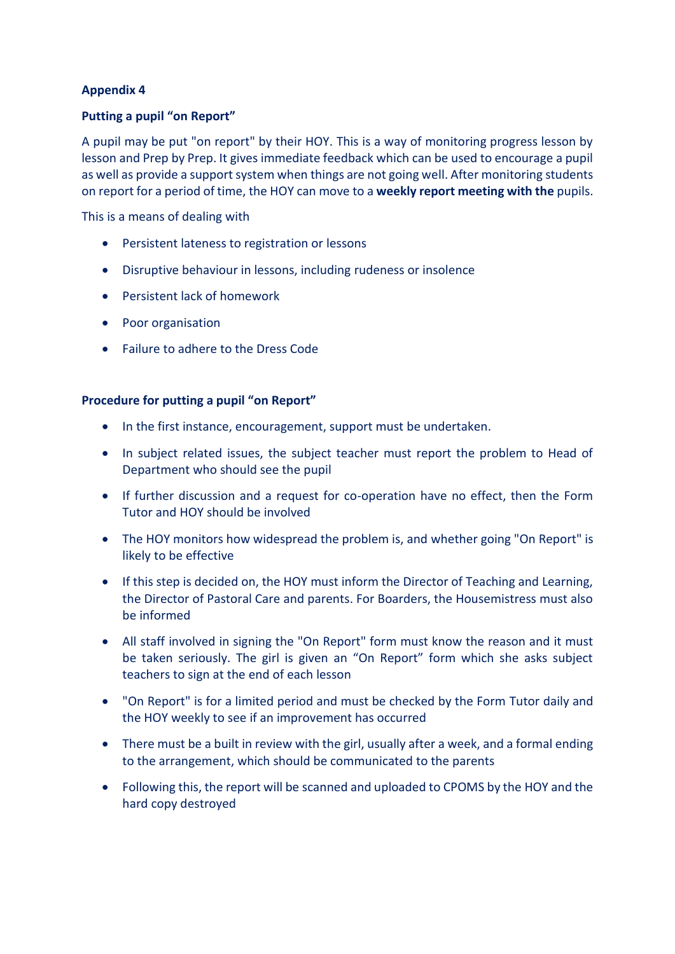# **Putting a pupil "on Report"**

A pupil may be put "on report" by their HOY. This is a way of monitoring progress lesson by lesson and Prep by Prep. It gives immediate feedback which can be used to encourage a pupil as well as provide a support system when things are not going well. After monitoring students on report for a period of time, the HOY can move to a **weekly report meeting with the** pupils.

This is a means of dealing with

- Persistent lateness to registration or lessons
- Disruptive behaviour in lessons, including rudeness or insolence
- Persistent lack of homework
- Poor organisation
- Failure to adhere to the Dress Code

# **Procedure for putting a pupil "on Report"**

- In the first instance, encouragement, support must be undertaken.
- In subject related issues, the subject teacher must report the problem to Head of Department who should see the pupil
- If further discussion and a request for co-operation have no effect, then the Form Tutor and HOY should be involved
- The HOY monitors how widespread the problem is, and whether going "On Report" is likely to be effective
- If this step is decided on, the HOY must inform the Director of Teaching and Learning, the Director of Pastoral Care and parents. For Boarders, the Housemistress must also be informed
- All staff involved in signing the "On Report" form must know the reason and it must be taken seriously. The girl is given an "On Report" form which she asks subject teachers to sign at the end of each lesson
- "On Report" is for a limited period and must be checked by the Form Tutor daily and the HOY weekly to see if an improvement has occurred
- There must be a built in review with the girl, usually after a week, and a formal ending to the arrangement, which should be communicated to the parents
- Following this, the report will be scanned and uploaded to CPOMS by the HOY and the hard copy destroyed